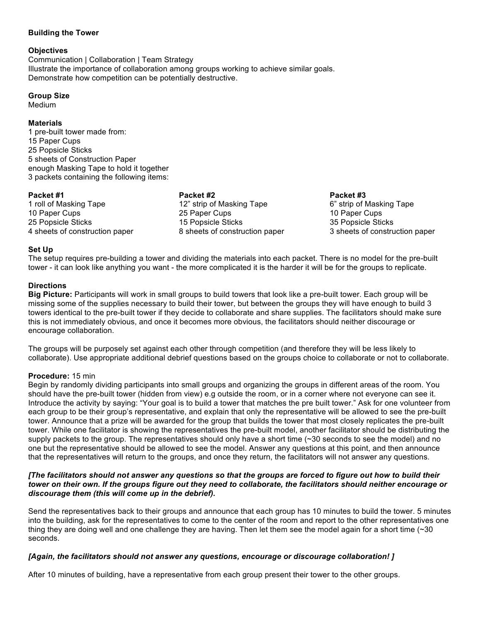## **Building the Tower**

### **Objectives**

Communication | Collaboration | Team Strategy Illustrate the importance of collaboration among groups working to achieve similar goals. Demonstrate how competition can be potentially destructive.

### **Group Size**

Medium

## **Materials**

1 pre-built tower made from: 15 Paper Cups 25 Popsicle Sticks 5 sheets of Construction Paper enough Masking Tape to hold it together 3 packets containing the following items:

#### **Packet #1**

1 roll of Masking Tape 10 Paper Cups 25 Popsicle Sticks 4 sheets of construction paper

### **Packet #2**

12" strip of Masking Tape 25 Paper Cups 15 Popsicle Sticks 8 sheets of construction paper

**Packet #3** 6" strip of Masking Tape 10 Paper Cups 35 Popsicle Sticks 3 sheets of construction paper

### **Set Up**

The setup requires pre-building a tower and dividing the materials into each packet. There is no model for the pre-built tower - it can look like anything you want - the more complicated it is the harder it will be for the groups to replicate.

## **Directions**

**Big Picture:** Participants will work in small groups to build towers that look like a pre-built tower. Each group will be missing some of the supplies necessary to build their tower, but between the groups they will have enough to build 3 towers identical to the pre-built tower if they decide to collaborate and share supplies. The facilitators should make sure this is not immediately obvious, and once it becomes more obvious, the facilitators should neither discourage or encourage collaboration.

The groups will be purposely set against each other through competition (and therefore they will be less likely to collaborate). Use appropriate additional debrief questions based on the groups choice to collaborate or not to collaborate.

## **Procedure:** 15 min

Begin by randomly dividing participants into small groups and organizing the groups in different areas of the room. You should have the pre-built tower (hidden from view) e.g outside the room, or in a corner where not everyone can see it. Introduce the activity by saying: "Your goal is to build a tower that matches the pre built tower." Ask for one volunteer from each group to be their group's representative, and explain that only the representative will be allowed to see the pre-built tower. Announce that a prize will be awarded for the group that builds the tower that most closely replicates the pre-built tower. While one facilitator is showing the representatives the pre-built model, another facilitator should be distributing the supply packets to the group. The representatives should only have a short time  $(\sim 30$  seconds to see the model) and no one but the representative should be allowed to see the model. Answer any questions at this point, and then announce that the representatives will return to the groups, and once they return, the facilitators will not answer any questions.

#### *[The facilitators should not answer any questions so that the groups are forced to figure out how to build their tower on their own. If the groups figure out they need to collaborate, the facilitators should neither encourage or discourage them (this will come up in the debrief).*

Send the representatives back to their groups and announce that each group has 10 minutes to build the tower. 5 minutes into the building, ask for the representatives to come to the center of the room and report to the other representatives one thing they are doing well and one challenge they are having. Then let them see the model again for a short time (~30 seconds.

## *[Again, the facilitators should not answer any questions, encourage or discourage collaboration! ]*

After 10 minutes of building, have a representative from each group present their tower to the other groups.